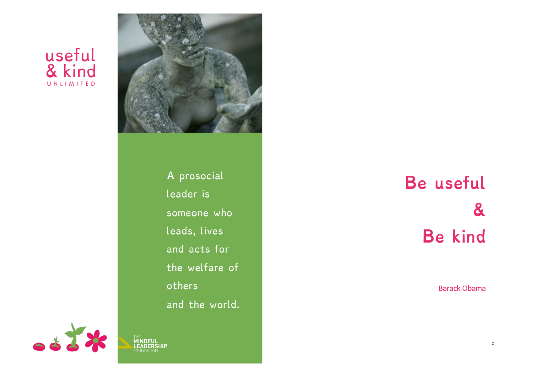# useful & kind UNLIMITED



A prosocial leader is someone who leads, lives and acts for the welfare of others and the world.

0883 THE **MINDFUL LEADERSHIP**  FOUNDATION

# **Be useful & Be kind**

Barack Obama

2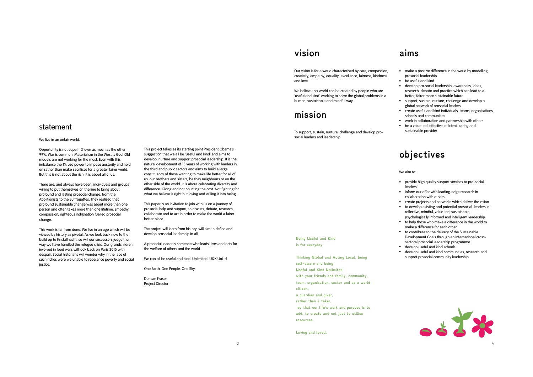#### statement

#### We live in an unfair world.

Opportunity is not equal. 1% own as much as the other 99%. War is common. Materialism in the West is God. Old models are not working for the most. Even with this imbalance the 1% use power to impose austerity and hold on rather than make sacrifices for a greater fairer world. But this is not about the rich. It is about all of us.

There are, and always have been, individuals and groups willing to put themselves on the line to bring about profound and lasting prosocial change, from the Abolitionists to the Suffragettes. They realised that profound sustainable change was about more than one person and often takes more than one lifetime. Empathy, compassion, righteous indignation fuelled prosocial change.

This work is far from done. We live in an age which will be viewed by history as pivotal. As we look back now to the build up to Kristallnacht, so will our successors judge the way we have handled the refugee crisis. Our grandchildren involved in food wars will look back on Paris 2015 with despair. Social historians will wonder why in the face of such riches were we unable to rebalance poverty and social justice.

This project takes as its starting point President Obama's suggestion that we all be 'useful and kind' and aims to develop, nurture and support prosocial leadership. It is the natural development of 15 years of working with leaders in the third and public sectors and aims to build a large constituency of those wanting to make life better for all of us, our brothers and sisters, be they neighbours or on the other side of the world. It is about celebrating diversity and difference. Giving and not counting the cost. Not fighting for what we believe is right but loving and willing it into being.

This paper is an invitation to join with us on a journey of prosocial help and support, to discuss, debate, research, collaborate and to act in order to make the world a fairer better place.

The project will learn from history, will aim to define and develop prosocial leadership in all.

A prosocial leader is someone who leads, lives and acts for the welfare of others and the world.

We can all be useful and kind. Unlimited. U&K UnLtd.

One Earth. One People. One Sky.

Duncan Fraser Project Director

### **vision**

Our vision is for a world characterised by care, compassion, creativity, empathy, equality, excellence, fairness, kindness and love.

We believe this world can be created by people who are 'useful and kind' working to solve the global problems in a human, sustainable and mindful way

### **mission**

**Being Useful and Kind is for everyday** 

**self-aware and being Useful and Kind Unlimited**

**a guardian and giver, rather than a taker,** 

**citizen,** 

**resources.** 

**Loving and loved.**

**Thinking Global and Acting Local, being** 

**with your friends and family, community, team, organisation, sector and as a world** 

 **so that our life's work and purpose is to add, to create and not just to utilise** 

To support, sustain, nurture, challenge and develop prosocial leaders and leadership.

#### **aims**

- make a positive difference in the world by modelling prosocial leadership
- be useful and kind
- develop pro-social leadership: awareness, ideas, research, debate and practice which can lead to a better, fairer more sustainable future
- support, sustain, nurture, challenge and develop a global network of prosocial leaders
- create useful and kind individuals, teams, organisations, schools and communities
- work in collaboration and partnership with others
- be a value-led, effective, efficient, caring and sustainable provider

### **objectives**

#### We aim to:

- provide high quality support services to pro-social leaders
- inform our offer with leading-edge research in collaboration with others
- create projects and networks which deliver the vision • to develop existing and potential prosocial leaders in reflective, mindful, value-led, sustainable,
- psychologically informed and intelligent leadership • to help those who make a difference in the world to make a difference for each other
- to contribute to the delivery of the Sustainable Development Goals through an international crosssectoral prosocial leadership programme
- develop useful and kind schools
- develop useful and kind communities, research and support prosocial community leadership

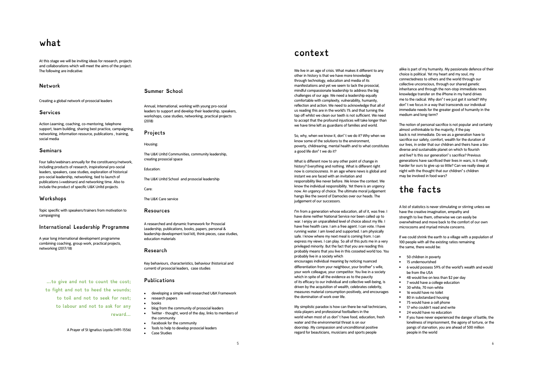### **what**

At this stage we will be inviting ideas for research, projects and collaborations which will meet the aims of the project. The following are indicative:

#### **Network**

Creating a global network of prosocial leaders

#### **Services**

Action Learning, coaching, co-mentoring, telephone support, team building, sharing best practice, campaigning, networking, information resource, publications , training, social media

#### **Seminars**

Four talks/webinars annually for the constituency/network, including products of research, inspirational pro-social leaders, speakers, case studies, exploration of historical pro-social leadership, networking, tied to launch of publications (+webinars) and networking time. Also to include the product of specific U&K Unltd projects.

#### **Workshops**

Topic specific with speakers/trainers from motivation to campaigning

#### **International Leadership Programme**

A year long international development programme combining coaching, group work, practical projects, networking (2017/18)

**…to give and not to count the cost; to fight and not to heed the wounds; to toil and not to seek for rest; to labour and not to ask for any reward…** 

A Prayer of St Ignatius Loyola (1491-1556)

#### **Summer School**

Annual, International, working with young pro-social leaders to support and develop their leadership, speakers, workshops, case studies, networking, practical projects (2018)

**Projects** 

Housing:

The U&K Unltd Communities, community leadership, creating prosocial space

Education:

The U&K Unltd School and prosocial leadership

Care:

The U&K Care service

#### **Resources**

A researched and dynamic framework for Prosocial Leadership, publications, books, papers, personal & leadership development tool kit), think pieces, case studies, education materials

#### **Research**

Key behaviours, characteristics, behaviour (historical and current) of prosocial leaders, case studies

#### **Publications**

- developing a simple well researched U&K Framework
- research papers
- books
- blog from the community of prosocial leaders
- Twitter thought, word of the day, links to members of the community
- Facebook for the community
- Tools to help to develop prosocial leaders • Case Studies

**context** 

We live in an age of crisis. What makes it different to any other in history is that we have more knowledge through technology, education and media of its manifestations and yet we seem to lack the prosocial, mindful compassionate leadership to address the big challenges of our age. We need a leadership equally comfortable with complexity, vulnerability, humanity, reflection and action. We need to acknowledge that all of us reading this are in the world's 1% and that turning the tap off whilst we clean our teeth is not sufficient. We need to accept that the profound injustices will take longer than we have time left as guardians of families and world.

So, why, when we know it, don**'** t we do it? Why when we know some of the solutions to the environment, poverty, childrearing, mental health and to what constitutes a good life don**'** t we do it?

What is different now to any other point of change in history? Everything and nothing. What is different right now is consciousness. In an age where news is global and instant we are faced with an invitation and responsibility like never before. We know the context. We know the individual responsibility. Yet there is an urgency now. An urgency of choice. The ultimate moral judgement hangs like the sword of Damocles over our heads. The judgement of our successors.

I**'**m from a generation whose education, all of it, was free. I have done neither National Service nor been called up to war. I enjoy an unparalleled level of choice about my life. I have free health care. I am a free agent. I can vote. I have running water. I am loved and supported. I am physically safe. I know where my next meal is coming from. I can express my views. I can play. So all of this puts me in a very privileged minority. But the fact that you are reading this probably means that you live in this cosseted world too. You probably live in a society which encourages individual meaning by noticing nuanced differentiation from your neighbour, your brother**'** s wife, your work colleague, your competitor. You live in a society which in spite of all the evidence as to the paucity of its efficacy to our individual and collective well-being, is driven by the acquisition of wealth, celebrates celebrity, measures material consumption positively, and encourages

My simplistic paradox is how can there be nail technicians, viola players and professional footballers in the world when most of us don**'** t have food, education, fresh water and the environmental threat is on our doorstep. My compassion and unconditional positive regard for beauticians, musicians and sports people

the domination of work over life.

alike is part of my humanity. My passionate defence of their choice is political. Yet my heart and my soul, my connectedness to others and the world through our collective unconscious, through our shared genetic inheritance and through the non-stop immediate news knowledge transfer on the iPhone in my hand drives me to the radical. Why don**'** t we just get it sorted? Why don**'** t we focus in a way that transcends our individual immediate needs for the greater good of humanity in the medium and long-term?

The notion of personal sacrifice is not popular and certainly almost unthinkable to the majority, if the pay back is not immediate. Do we as a generation have to sacrifice our safety, comfort, wealth for the duration of our lives, in order that our children and theirs have a biodiverse and sustainable planet on which to flourish and live? Is this our generation**'** s sacrifice? Previous generations have sacrificed their lives in wars, is it really harder for ours to give up so little? Can we really sleep at night with the thought that our children**'** s children may be involved in food wars?

### **the facts**

A list of statistics is never stimulating or stirring unless we have the creative imagination, empathy and strength to live them, otherwise we can easily be overwhelmed and move back to the comfort of our own microcosms and myriad minute concerns.

If we could shrink the earth to a village with a population of 100 people with all the existing ratios remaining the same, there would be:

- 50 children in poverty
- 15 undernourished
- 6 would possess 59% of the world**'**s wealth and would be from the USA
- 48 would live on less than \$2 per day
- 7 would have a college education
- 30 white, 70 non-white
- 16 would have no toilet
- 80 in substandard housing
- 75 would have a cell phone
- 17 who couldn't read and write
- 24 would have no education • If you have never experienced the danger of battle, the
- loneliness of imprisonment, the agony of torture, or the pangs of starvation, you are ahead of 500 million people in the world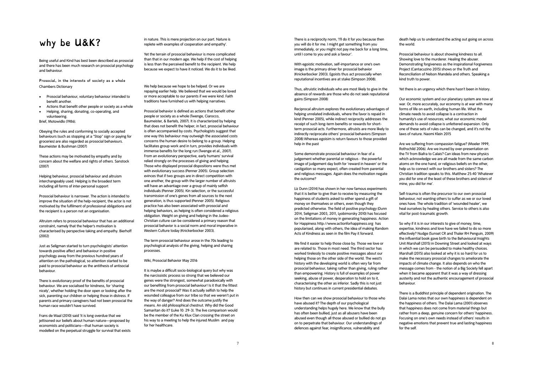### **why be U&K?**

Being useful and Kind has best been described as prosocial and there has been much research on prosocial psychology and behaviour.

**Prosocial, in the interests of society as a whole**  Chambers Dictionary

- Prosocial behaviour, voluntary behaviour intended to benefit another.
- Actions that benefit other people or society as a whole • Helping, sharing, donating, co-operating, and volunteering.

Brief, Motowidlo (1986).

Obeying the rules and conforming to socially accepted behaviours (such as stopping at a "Stop" sign or paying for groceries) are also regarded as prosocial behaviours. Baumeister & Bushman (2007)

These actions may be motivated by empathy and by concern about the welfare and rights of others. Sanstock (2007)

Helping behaviour, prosocial behaviour and altruism interchangeably used. Helping is the broadest term including all forms of inter-personal support

Prosocial behaviour is narrower. The action is intended to improve the situation of the help-recipient, the actor is not motivated by the fulfilment of professional obligations and the recipient is a person not an organisation.

Altruism refers to prosocial behaviour that has an additional constraint, namely that the helper's motivation is characterised by perspective taking and empathy. Bierhoff (2002)

Just as Seligman started to turn psychologists' attention towards positive affect and behaviour in positive psychology away from the previous hundred years of attention on the pathological, so attention started to be paid to prosocial behaviour as the antithesis of antisocial behaviour.

There is evolutionary proof of the benefits of prosocial behaviour. We are socialised for kindness, for 'sharing nicely', whether holding the door open or looking after the sick, parenting our children or helping those in distress. If parents and primary caregivers had not been prosocial the human race wouldn't have survived.

Frans de Waal (2010) said 'it is long overdue that we jettisoned our beliefs about human nature—proposed by economists and politicians—that human society is modelled on the perpetual struggle for survival that exists in nature. This is mere projection on our part. Nature is replete with examples of cooperation and empathy'.

Yet the terrain of prosocial behaviour is more complicated than that in our modern age. We help if the cost of helping is less than the perceived benefit to the recipient. We help because we expect to have it noticed. We do it to be liked.

We help because we hope to be helped. Or we are repaying earlier help. We believed that we would be loved or more acceptable to our parents if we were kind. Faith traditions have furnished us with helping narratives.

Prosocial behavior is defined as actions that benefit other people or society as a whole (Twenge, Ciarocco, Baumeister, & Bartels, 2007). It is characterized by helping that does not benefit the helper; in fact, prosocial behaviour is often accompanied by costs. Psychologists suggest that one way this behaviour may outweigh the associated costs concerns the human desire to belong to a group. Helping facilitates group work and in turn, provides individuals with immense benefits for the long run (Twenge et al., 2007). From an evolutionary perspective, early humans' survival relied strongly on the processes of giving and helping. Those who displayed prosocial dispositions were thus met with evolutionary success (Penner 2005). Group selection evinces that if two groups are in direct competition with one another, the group with the larger number of altruists will have an advantage over a group of mainly selfish individuals (Penner 2005). Kin selection, or the successful transmission of one's genes from all sources to the next generation, is thus supported (Penner 2005). Religious practice has also been associated with prosocial and helping behaviors, as helping is often considered a religious obligation. Weight on giving and helping in the Judeo-Christian culture can be considered a primary reason that prosocial behavior is a social norm and moral imperative in Western Culture today (Knickerbocker 2003).

The term prosocial behaviour arose in the 70s leading to psychological analysis of the giving, helping and sharing processes.

Wiki, Prosocial Behavior May 2016

It is maybe a difficult socio-biological query but why was the narcissistic process so strong that we believed our genes were the strongest, somewhat paradoxically with our benefiting from prosocial behaviour! Is it that the fittest are the most prosocial? Was it actually selfish to help the wounded colleague from our tribe so that we weren't put in the way of danger? And does the outcome justify the means. An old philosophical chestnut. Why did the Good Samaritan do it? (Luke 10: 29-3). The live comparison would be the member of the Ku Klux Clan crossing the street on his way to a meeting to help the injured Muslim and pay for her healthcare.

There is a reciprocity norm, 'I'll do it for you because then you will do it for me. I might get something from you immediately, or you might not pay me back for a long time, until I come to you and ask a favour'.

With egoistic motivation, self-importance or one's own image is the primary driver for prosocial behavior (Knickerbocker 2003). Egoists thus act prosocially when reputational incentives are at stake (Simpson 2008).

Thus, altruistic individuals who are most likely to give in the absence of rewards are those who do not seek reputational gains (Simpson 2008)

Reciprocal altruism explores the evolutionary advantages of helping unrelated individuals, where the favor is repaid in kind (Penner 2005), while indirect reciprocity addresses the receipt of such long-term benefits or rewards for shortterm prosocial acts. Furthermore, altruists are more likely to indirectly reciprocate others' prosocial behaviors (Simpson 2008) Whereas egoisim is return favours to those provided help in the past

Some demonstrate prosocial behaviour in fear of a judgement whether parental or religious - the powerful image of judgement day both for 'reward in heaven' or the castigation so many expect, often created from parental and religious messages. Again does the motivation negate the outcome?

Liz Dunn (2014) has shown in her now famous experiments that it is better to give than to receive by measuring the happiness of students asked to either spend a gift of money on themselves or others, even though they predicted otherwise. The field of positive psychology (Dunn 2014, Seligman 2003, 2011, Lyobimorsky 2010) has focused on the limitations of money in generating happiness. Action for Happiness http://www.actionforhappiness.org has popularised, along with others, the idea of making Random Acts of Kindness as seen in the film Pay it forward.

We find it easier to help those close by. Those we love or are related to. Those in most need. The third sector has worked tirelessly to create positive messages about our helping those on the other side of the world. The west's history with the developing world is often very far from prosocial behaviour, taking rather than giving, ruling rather than empowering. History is full of examples of power seeking, abuse of power, desperation to hold on to it, characterising the other as inferior. Sadly this is not just history but continues in current presidential debates.

How then can we show prosocial behaviour to those who have abused it? The depth of our psychological understanding helps hugely here. We know that the bully has often been bullied, just as all abusers have been abused even though all those abused or bullied do not go on to perpetrate that behaviour. Our understandings of defences against fear, insignificance, vulnerability and

death help us to understand the acting out going on across the world.

Prosocial behaviour is about showing kindness to all. Showing love to the murderer. Healing the abuser. Demonstrating forgiveness as the inspirational Forgiveness Project (Cantacuzino 2015) shows or the Truth and Reconciliation of Nelson Mandela and others. Speaking a kind truth to power.

Yet there is an urgency which there hasn't been in history.

Our economic system and our planetary system are now at war. Or, more accurately, our economy is at war with many forms of life on earth, including human life. What the climate needs to avoid collapse is a contraction in humanity's use of resources; what our economic model demands to avoid collapse is unfettered expansion. Only one of these sets of rules can be changed, and it's not the laws of nature. Naomi Klein 2015

Are we suffering from compassion fatigue? (Moeler 1999, Rothschild 2006). Are we inured by over-presentation on the TV from Biafra to Calais? Can ideas from new physics which acknowledge we are all made from the same carbon atoms on the one hand, or religious beliefs on the other, help us to connect with our brothers and sisters? The Christian tradition speaks to this. Matthew 25:40 'Whatever you did for one of the least of these brothers and sisters of mine, you did for me'.

Self-trauma is often the precursor to our own prosocial behaviour, not wanting others to suffer as we or our loved ones have. The whole tradition of 'wounded healer', we heal ourselves by healing others. Service to others is also vital for post-traumatic growth.

So why if it is in our interests to give of money, time, expertise, kindness and love have we failed to do so more effectively? Nudge (Sunset CR and Thaler RH Penguin, 2009) the influential book gave birth to the Behavioural Insights Unit Marshall (2015) in Downing Street and looked at ways in which we can be persuaded to make healthy choices. Marshall (2015) also looked at why it is so hard for us to make the necessary prosocial changes to ameliorate the impacts of climate change. It also depends on who the message comes from - the notion of a Big Society fell apart when it became apparent that it was a way of dressing austerity and not the authentic encouragement of prosocial behaviour.

There is a Buddhist principle of dependent origination. The Dalai Lama notes that our own happiness is dependent on the happiness of others. The Dalai Lama (2001) observes that happiness does not come from material things but rather from a deep, genuine concern for others' happiness. Focusing on one's own needs instead of others' results in negative emotions that prevent true and lasting happiness for the self.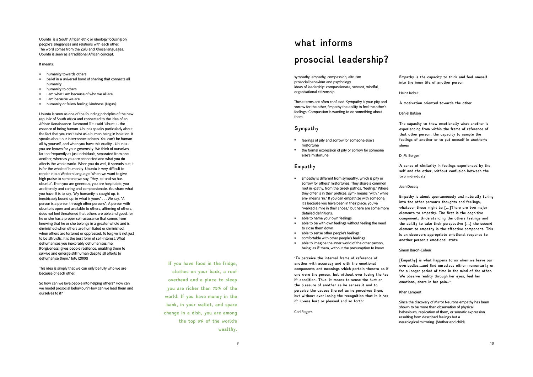Ubuntu is a South African ethic or ideology focusing on people's allegiances and relations with each other. The word comes from the Zulu and Xhosa languages. Ubuntu is seen as a traditional African concept.

- 
- It means:<br>• humanity towards others<br>• belief in a universal bond of sharing that connects all humanity
- 
- humanity to others<br>• I am what I am because of who we all are<br>• Inm because we are<br>• humanity or fellow feeling: kindness. [Nguni]
- 
- 

Ubuntu is seen as one of the founding principles of the new republic of South Africa and connected to the idea of an African Renaissance. Desmond Tutu said 'Ubuntu - the essence of being human. Ubuntu speaks particularly about the fact that you can't exist as a human being in isolation. It speaks about our interconnectedness. You can't be human all by yourself, and when you have this quality - Ubuntu you are known for your generosity. We think of ourselves far too frequently as just individuals, separated from one another, whereas you are connected and what you do affects the whole world. When you do well, it spreads out; it is for the whole of humanity. Ubuntu is very difficult to render into a Western language. When we want to give high praise to someone we say, "Hey, so-and-so has ubuntu". Then you are generous, you are hospitable, you are friendly and caring and compassionate. You share what you have. It is to say, "My humanity is caught up, is inextricably bound up, in what is yours" . . . We say, "A person is a person through other persons". A person with ubuntu is open and available to others, affirming of others, does not feel threatened that others are able and good, for he or she has a proper self-assurance that comes from knowing that he or she belongs in a greater whole and is diminished when others are humiliated or diminished, when others are tortured or oppressed. To forgive is not just to be altruistic. It is the best form of self-interest. What dehumanises you inexorably dehumanises me. [Forgiveness] gives people resilience, enabling them to survive and emerge still human despite all efforts to dehumanise them.' Tutu (2000)

This idea is simply that we can only be fully who we are because of each other.

So how can we love people into helping others? How can we model prosocial behaviour? How can we lead them and ourselves to it?

**If you have food in the fridge, clothes on your back, a roof overhead and a place to sleep you are richer than 75% of the world. If you have money in the bank, in your wallet, and spare change in a dish, you are among the top 8% of the world 's wealthy.**

9

# **what informs prosocial leadership?**

sympathy, empathy, compassion, altruism prosocial behaviour and psychology ideas of leadership: compassionate, servant, mindful, organisational citizenship

These terms are often confused. Sympathy is your pity and sorrow for the other, Empathy the ability to feel the other's feelings, Compassion is wanting to do something about them.

#### **Sympathy**

- feelings of pity and sorrow for someone else's misfortune
- the formal expression of pity or sorrow for someone else's misfortune

#### **Empathy**

- Empathy is different from sympathy, which is pity or sorrow for others' misfortunes. They share a common root in -pathy, from the Greek pathos, "feeling." Where they differ is in their prefixes: sym- means "with," while em- means "in." If you can empathize with someone, it's because you have been in their place: you've "walked a mile in their shoes," but here are some more detailed definitions:
- 
- able to name your own feelings<br>able to be with own feelings without feeling the need to close them down<br>able to sense other people's feelings
- 
- 
- comfortable with other people's feelings<br>• able to imagine the inner world of the other person, being 'as if' them, without the presumption to know

**'To perceive the internal frame of reference of another with accuracy and with the emotional components and meanings which pertain thereto as if one were the person, but without ever losing the 'as if' condition. Thus, it means to sense the hurt or the pleasure of another as he senses it and to perceive the causes thereof as he perceives them, but without ever losing the recognition that it is 'as if' I were hurt or pleased and so forth'** 

Carl Rogers

**Empathy is the capacity to think and feel oneself into the inner life of another person**

Heinz Kohut

**A motivation oriented towards the other**

Daniel Batson

**The capacity to know emotionally what another is experiencing from within the frame of reference of that other person, the capacity to sample the feelings of another or to put oneself in another's shoes**

D. M. Berger

**A sense of similarity in feelings experienced by the self and the other, without confusion between the two individuals**

Jean Decety

**Empathy is about spontaneously and naturally tuning into the other person's thoughts and feelings, whatever these might be [...]There are two major elements to empathy. The first is the cognitive component. Understanding the others feelings and the ability to take their perspective [...] the second element to empathy is the affective component. This is an observers appropriate emotional response to another person's emotional state**

Simon Baron-Cohen

**[Empathy] is what happens to us when we leave our own bodies...and find ourselves either momentarily or for a longer period of time in the mind of the other. We observe reality through her eyes, feel her emotions, share in her pain.."** 

#### Khen Lampert

Since the discovery of Mirror Neurons empathy has been shown to be more than observation of physical behaviours, replication of them, or somatic expression resulting from described feelings but a neurological mirroring. (Mother and child)

10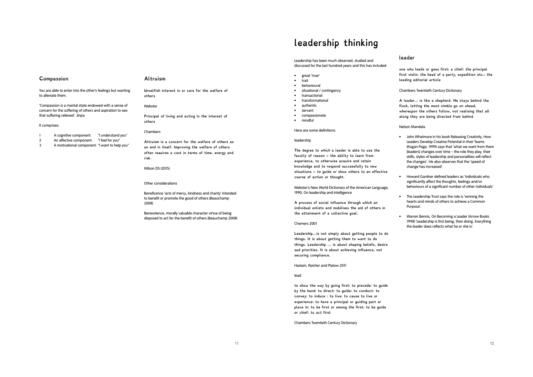#### **Compassion**

#### **Altruism**

You are able to enter into the other's feelings but wanting to alleviate them.

'Compassion is a mental state endowed with a sense of concern for the suffering of others and aspiration to see that suffering relieved'. Jinpa

#### It comprises:

- 1 A cognitive component: "I understand you"
- 2 An affective component: "I feel for you"
- 3 A motivational component: "I want to help you"

**Unselfish interest in or care for the welfare of others** 

#### **Webster**

**Principal of living and acting in the interest of others** 

#### Chambers

**Altruism is a concern for the welfare of others as an end in itself. Improving the welfare of others often requires a cost in terms of time, energy and risk.** 

Wilson DS (2015)

#### Other considerations

Beneficence 'acts of mercy, kindness and charity' intended to benefit or promote the good of others (Beauchamp 2008)

Benevolence, morally valuable character virtue of being disposed to act for the benefit of others (Beauchamp 2008)

### **leadership thinking**

#### Leadership has been much observed, studied and discussed for the last hundred years and this has included:

- great 'man'
- trait
- behavioural
- situational / contingency
- transactional
- transformational
- authentic • servant
- compassionate
- mindful
- 

Here are some definitions:

#### leadership

**The degree to which a leader is able to use the faculty of reason - the ability to learn from experience, to otherwise acquire and retain knowledge and to respond successfully to new situations - to guide or show others to an effective course of action or thought.** 

Webster's New World Dictionary of the American Language, 1990, On leadership and Intelligence

**A process of social influence through which an individual enlists and mobilises the aid of others in the attainment of a collective goal.** 

Chemers 2001

**Leadership…is not simply about getting people to do things. It is about getting them to want to do things. Leadership … is about shaping beliefs, desire sad priorities. It is about achieving influence, not securing compliance.** 

Haslam, Reicher and Platow 2011

#### lead

**to show the way by going first: to precede: to guide by the hand: to direct: to guide: to conduct: to convey: to induce : to live: to cause to live or experience: to have a principal or guiding part or place in: to be first or among the first: to be guide or chief: to act first** 

Chambers Twentieth Century Dictionary

#### **leader**

**one who leads or goes first: a chief: the principal first violin: the head of a party, expedition etc.: the leading editorial article** 

Chambers Twentieth Century Dictionary

**A leader... is like a shepherd. He stays behind the flock, letting the most nimble go on ahead, whereupon the others follow, not realising that all along they are being directed from behind** 

#### Nelson Mandela

- John Whatmore in his book Releasing Creativity, How Leaders Develop Creative Potential in their Teams (Kogan Page, 1999) says that 'what we want from them [leaders] changes over time – the role they play, their skills, styles of leadership and personalities will reflect the changes'. He also observes that the 'speed of change has increased'.
- Howard Gardner defined leaders as 'individuals who significantly affect the thoughts, feelings and/or behaviours of a significant number of other individuals'
- The Leadership Trust says the role is 'winning the hearts and minds of others to achieve a Common Purpose'.
- Warren Bennis, On Becoming a Leader (Arrow Books 1998) 'Leadership is first being, then doing. Everything the leader does reflects what he or she is'.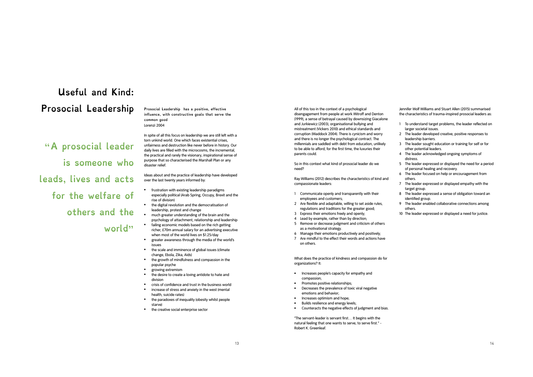# **Useful and Kind: Prosocial Leadership**

**"A prosocial leader is someone who leads, lives and acts for the welfare of others and the** 

**world"** 

**Prosocial Leadership has a positive, effective influence, with constructive goals that serve the common good**  Lorenzi 2004

In spite of all this focus on leadership we are still left with a torn unkind world. One which faces existential crises, unfairness and destruction like never before in history. Our daily lives are filled with the microcosms, the incremental, the practical and rarely the visionary, inspirational sense of purpose that so characterised the Marshall Plan or any disaster relief.

Ideas about and the practice of leadership have developed over the last twenty years informed by:

- frustration with existing leadership paradigms especially political (Arab Spring, Occupy, Brexit and the rise of division)
- the digital revolution and the democratisation of leadership, protest and change
- much greater understanding of the brain and the psychology of attachment, relationship and leadership • failing economic models based on the rich getting
- richer, £70m annual salary for an advertising executive when most of the world lives on \$1.25/day
- greater awareness through the media of the world's issues
- the scale and imminence of global issues (climate change, Ebola, Zika, Aids)
- the growth of mindfulness and compassion in the popular psyche
- growing extremism
- the desire to create a loving antidote to hate and division
- crisis of confidence and trust in the business world
- increase of stress and anxiety in the west (mental health, suicide rates)
- the paradoxes of inequality (obesity whilst people starve)
- the creative social enterprise sector

All of this too in the context of a psychological disengagement from people at work Mitroff and Denton (1999), a sense of betrayal caused by downsizing Giacalone and Jurkiewicz (2003), organisational bullying and mistreatment (Vickers 2010) and ethical standards and corruption (Waddock 2004). There is cynicism and worry and there is no longer the psychological contract. The millennials are saddled with debt from education, unlikely to be able to afford, for the first time, the luxuries their parents could.

So in this context what kind of prosocial leader do we need?

Ray Williams (2012) describes the characteristics of kind and compassionate leaders:

- 1 Communicate openly and transparently with their employees and customers;
- 2 Are flexible and adaptable, willing to set aside rules, regulations and traditions for the greater good;
- 3 Express their emotions freely and openly;
- 4 Lead by example, rather than by direction;
- 5 Remove or decrease judgment and criticism of others as a motivational strategy.
- 6 Manage their emotions productively and positively;
- 7 Are mindful to the effect their words and actions have on others.

What does the practice of kindness and compassion do for organizations? It:

- Increases people's capacity for empathy and compassion;
- Promotes positive relationships;
- Decreases the prevalence of toxic viral negative emotions and behavior;
- Increases optimism and hope;
- Builds resilience and energy levels;
- Counteracts the negative effects of judgment and bias.

"The servant-leader is servant first… It begins with the natural feeling that one wants to serve, to serve first." - Robert K. Greenleaf.

Jennifer Wolf Williams and Stuart Allen (2015) summarised the characteristics of trauma-inspired prosocial leaders as:

- 1 To understand target problems, the leader reflected on larger societal issues.
- 2 The leader developed creative, positive responses to leadership barriers.
- 3 The leader sought education or training for self or for other potential leaders.
- 4 The leader acknowledged ongoing symptoms of distress.
- 5 The leader expressed or displayed the need for a period of personal healing and recovery.
- 6 The leader focused on help or encouragement from others.
- 7 The leader expressed or displayed empathy with the target group.
- 8 The leader expressed a sense of obligation toward an identified group.
- 9 The leader enabled collaborative connections among others.
- 10 The leader expressed or displayed a need for justice.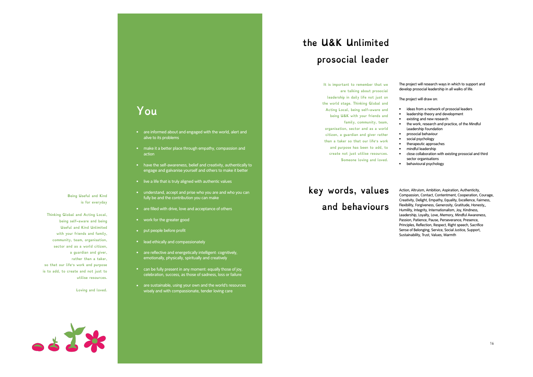### **You**

- are informed about and engaged with the world, alert and alive to its problems
- make it a better place through empathy, compassion and action
- have the self-awareness, belief and creativity, authentically to engage and galvanise yourself and others to make it better
- live a life that is truly aligned with authentic values
- understand, accept and prise who you are and who you can fully be and the contribution you can make
- are filled with drive, love and acceptance of others
- work for the greater good
- put people before profit
- lead ethically and compassionately
- are reflective and energetically intelligent: cognitively, emotionally, physically, spiritually and creatively
- can be fully present in any moment: equally those of joy, celebration, success, as those of sadness, loss or failure
- are sustainable, using your own and the world's resources wisely and with compassionate, tender loving care

# **the U&K Unlimited prosocial leader**

**It is important to remember that we are talking about prosocial leadership in daily life not just on the world stage. Thinking Global and** 

**Acting Local, being self-aware and being U&K with your friends and** 

**family, community, team, organisation, sector and as a world citizen, a guardian and giver rather than a taker so that our life's work and purpose has been to add, to** 

**create not just utilise resources.** 

**Someone loving and loved.** 

## **key words, values and behaviours**

The project will research ways in which to support and develop prosocial leadership in all walks of life.

The project will draw on:

- ideas from a network of prosocial leaders
- leadership theory and development
- existing and new research • the work, research and practice, of the Mindful
- Leadership Foundation • prosocial behaviour
- social psychology
- therapeutic approaches
- mindful leadership
- close collaboration with existing prosocial and third
- sector organisations
- behavioural psychology

Action, Altruism, Ambition, Aspiration, Authenticity, Compassion, Contact, Contentment, Cooperation, Courage, Creativity, Delight, Empathy, Equality, Excellence, Fairness, Flexibility, Forgiveness, Generosity, Gratitude, Honesty,, Humility, Integrity, Internationalism, Joy, Kindness, Leadership, Loyalty, Love, Memory, Mindful Awareness, Passion, Patience, Pause, Perseverance, Presence, Principles, Reflection, Respect, Right speech, Sacrifice Sense of Belonging, Service, Social Justice, Support, Sustainability, Trust, Values, Warmth

**Thinking Global and Acting Local, being self-aware and being Useful and Kind Unlimited with your friends and family, community, team, organisation,** 

**Being Useful and Kind is for everyday** 

**sector and as a world citizen, a guardian and giver, rather than a taker, so that our life's work and purpose is to add, to create and not just to utilise resources.** 

**Loving and loved.**

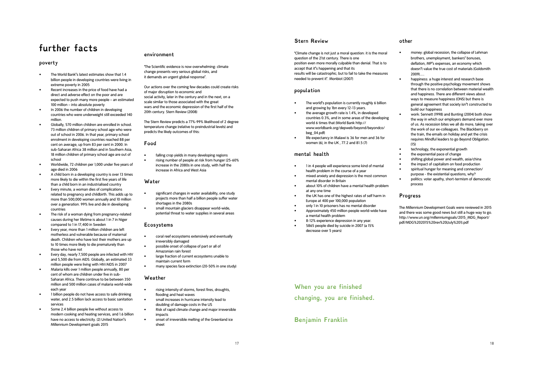### **further facts**

#### **poverty**

- The World Bank**'**s latest estimates show that 1.4 billion people in developing countries were living in extreme poverty in 2005
- Recent increases in the price of food have had a direct and adverse effect on the poor and are expected to push many more people – an estimated 100 million – into absolute poverty
- In 2006 the number of children in developing countries who were underweight still exceeded 140 million.
- Globally, 570 million children are enrolled in school. 73 million children of primary school age who were out of school in 2006. In that year, primary school enrolment in developing countries reached 88 per cent on average, up from 83 per cent in 2000. In sub-Saharan Africa 38 million and in Southern Asia, 18 million children of primary school age are out of school
- Worldwide, 72 children per 1,000 under five years of age died in 2006
- A child born in a developing country is over 13 times more likely to die within the first five years of life than a child born in an industrialised country
- Every minute, a woman dies of complications related to pregnancy and childbirth. This adds up to more than 500,000 women annually and 10 million over a generation. 99% live and die in developing countries
- The risk of a woman dying from pregnancy-related causes during her lifetime is about 1 in 7 in Niger compared to 1 in 17,400 in Sweden
- Every year, more than 1 million children are left motherless and vulnerable because of maternal death. Children who have lost their mothers are up to 10 times more likely to die prematurely than those who have not
- Every day, nearly 7,500 people are infected with HIV and 5,500 die from AIDS. Globally, an estimated 33 million people were living with HIV/AIDS in 2007
- Malaria kills over 1 million people annually, 80 per cent of whom are children under five in sub-Saharan Africa. There continue to be between 350 million and 500 million cases of malaria world-wide each year
- 1 billion people do not have access to safe drinking water, and 2.5 billion lack access to basic sanitation services
- Some 2.4 billion people live without access to modern cooking and heating services, and 1.6 billion have no access to electricity. (2) United Nation**'**s Millennium Development goals 2015

#### **environment**

**'**The Scientific evidence is now overwhelming: climate change presents very serious global risks, and it demands an urgent global response**'**.

Our actions over the coming few decades could create risks of major disruption to economic and social activity, later in the century and in the next, on a scale similar to those associated with the great wars and the economic depression of the first half of the 20th century. Stern Review (2008)

The Stern Review predicts a 77%-99% likelihood of 2 degree temperature change (relative to preindustrial levels) and predicts the likely outcomes of this:

#### **Food**

falling crop yields in many developing regions • rising number of people at risk from hunger (25-60% increase in the 2080s in one study, with half the increase in Africa and West Asia

#### **Water**

- significant changes in water availability, one study projects more than half a billion people suffer water shortages in the 2080s
- small mountain glaciers disappear world-wide, potential threat to water supplies in several areas

#### **Ecosystems**

- coral reef ecosystems extensively and eventually irreversibly damaged
	- possible onset of collapse of part or all of Amazonian rain forest
	- large fraction of current ecosystems unable to maintain current form
	- many species face extinction (20-50% in one study)

#### **Weather**

- rising intensity of storms, forest fires, droughts, flooding and heat waves
- small increases in hurricane intensity lead to doubling of damage costs in the US
	- Risk of rapid climate change and major irreversible impacts
	- onset of irreversible melting of the Greenland ice sheet

17

#### **Stern Review**

**'**Climate change is not just a moral question: it is the moral question of the 21st century. There is one position even more morally culpable than denial. That is to accept that it**'**s happening and that its results will be catastrophic; but to fail to take the measures needed to prevent it**'**. Monbiot (2007)

#### **population**

- The world**'**s population is currently roughly 6 billion and growing by 1bn every 12-13 years.
- the average growth rate is 1.4%, in developed countries 0.3%, and in some areas of the developing world 6 times that (World Bank http:// www.worldbank.org/depweb/beyond/beyondco/ beg\_04.pdf)
- life expectancy in Malawi is 36 for men and 36 for women (6), in the UK  $\overline{77.2}$  and 81.5 (7)

#### **mental health**

- 1 in 4 people will experience some kind of mental health problem in the course of a year
- mixed anxiety and depression is the most common mental disorder in Britain
- about 10% of children have a mental health problem at any one time
- the UK has one of the highest rates of self harm in Europe at 400 per 100,000 population
- only 1 in 10 prisoners has no mental disorder
- Approximately 450 million people world-wide have a mental health problem
- 8-12% experience depression in any year. • 5865 people died by suicide in 2007 (a 15%
- decrease over 5 years)

#### **other**

- money: global recession, the collapse of Lehman brothers, unemployment, bankers**'** bonuses, deflation, MP**'**s expenses, an economy which doesn**'**t value the true cost of materials (Goldsmith 2009).....
- happiness: a huge interest and research base through the positive psychology movement shows that there is no correlation between material wealth and happiness. There are different views about ways to measure happiness (ONS) but there is general agreement that society isn**'**t constructed to build our happiness
- work: Sennett (1998) and Bunting (2004) both show the way in which our employers demand ever more of us. As recession bites we all do more, taking over the work of our ex-colleagues. The Blackberry on the train, the emails on holiday and yet the crisis requires Mindful leaders to go Beyond Obligation. (15)
- technology, the exponential growth
- the exponential pace of change
- shifting global power and wealth, asia/china
- the impact of capitalism on food production • spiritual hunger for meaning and connection/
- purpose the existential questions, why? • politics: voter apathy, short-termism of democratic

#### **Progress**

process

The Millennium Development Goals were reviewed in 2015 and there was some good news but still a huge way to go. http://www.un.org/millenniumgoals/2015\_MDG\_Report/ pdf/MDG%202015%20rev%20(July%201).pdf

### **When you are finished changing, you are finished.**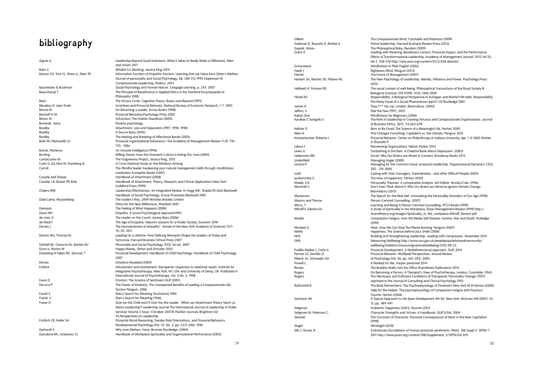### **bibliography**

Aigner G Leadership Beyond Good Intentions: What it takes to Really Make a Difference, Allen and Unwin 2011 Baim C<br>Batson CD Turk CL Shaw H. Klein TR<br>Information Eunction of Empathic Emotic Information Function of Empathic Emotion: Learning that we Value Each Other's Welfare. Journal of personality and Social Psychology, 68, 300-313 1995 Hopkinson M Compassionate Leadership, Piatkus, 2014 Baumeister & Bushman Social Psychology and Human Nature. Cengage Learning. p. 254. 2007<br>Beauchamp T<br>The Principle of Beneficence in Applied Ethics in the Stanford Encyclopa The Principle of Beneficence in Applied Ethics in the Stanford Encyclopaedia of Philosophy 2008 Beck The Vicious Circle, Cognitive Theory: Basics and Beyond (1995) Bénabou R, Jean Tirole Incentives and Prosocial Behavior. National Bureau of Economic Research, 1-7. 2005<br>In Becoming a Larder, Arrow Books Donald Bureau of Economic Research, 1-7. 2005 Bennis W On Becoming a Leader. Arrow Books (1998) Prosocial BehaviourPsychology Press 2002 Bloom W<br>Bloom W SOULution: The Holisitc Manifesto (2005)<br>Boniwell Ilona. Positive psychology Positive psychology Bowlby Attachment, Loss and Separation (1997, 1998, 1998) Bowlby **A** Secure Base (2005) Bowlby The Making and Breaking of Affectional Bonds (2005) Prosocial organizational behaviours. The Academy of Management Review 11 (4): 710– 725. 1986 Bryner, Markova **An Unused Intelligence (1996)** Bunting<br>
Cantacuzino M<br>
Cantacuzino M<br>
The Forgiveness Project Lessica King 2015 Cantacuzino M<br>Carlo G, Da Silva M, Eisenberg N, The Forgiveness Project, Jessica King, 2015<br>A Cross-National Study on the Relations An A Cross-National Study on the Relations Among Carroll The Mindful leader Awakening your natural management skills through mindfulness meditation Trumpeter Books (2007) Cassidy and Shaver **Handbook of Attachment (2008)** Cassidy J & Shaver PR (Eds) Handbook of Attachment, Theory, Research and Clinical Applications.New York: Guildford Press (1999) Cheers MM Leadership Effectiveness: An Integrative Review. In Hogg MA, Tindale RS (Eds) Blackwell Handbook of Social Psychology: Group Processes Blackwell 2001 Dalai Lama, Muyzenberg The Leader's Way, 2009 Nicholas Brealey London Ethics for the New Millennium, Riverbed 2001 Damasio The Feeling of What Happens (2000) Empathy: A Social Psychological Approach1994 de vries, K<br>
The Leader on the Couch, Jossey-Bass (2006)<br>
The Age of Empathy: Nature's Lessons for a Ki The Age of Empathy: Nature's Lessons for a Kinder Society, Souvenir 2010 Decety J The neuroevolution of empathy". Annals of the New York Academy of Sciences 1231: 35–45. 2011 Dennis WG, Thomas RJ Leading for a Lifetime: How Defining Moments Shape the Leaders of Today and Tomorrow, Harvard Business School Press 2007 DeWall NC, Ciarocco NJ, Bartels MJ Personality and Social Psychology, 92(1), 56-66. 2007 Dunn e, Norton M<br>
Eisenberg N Fabes RA, Spinrad, T<br>
Prosocial Development, Handbook of Ch Prosocial Development, Handbook of Child Psychology. Handbook of Child Psychology 2007 Ekman Emotions Revealed (2004) Attunement and involvement: therapeutic responses to relational needs. Institute for Integrative Psychotherapy, New York, NY, USA and University of Derby, UK. Published in International Journal of Psychotherapy, Vol. 3 No. 3, 1998 Evans D Emotion: The Science of Sentiment OUP (2001) Ferrucci P The Power of Kindness, The Unexpected Benefits of Leading a Compassionate Life, Tarcher Penguin, 2006 Frankl V<br>Frankl V **Man's Search for Meaning Touchstone 1984**<br>Man's Search for Meaning (1946) Man's Search for Meaning (1946) Fraser D Give me the Child and I'll Give You the Leader . What can Attachment Theory Teach us About Leadership? Leadership Journal The International Journal of Leadership in Public Services Volume 3 Issue 3 October 2007© Pavilion Journals (Brighton) Ltd 42,Perspectives on Leadership. Frohlich CB, Koller SH Prosocial Moral Reasoning, Gender Role Orientations, and Prosocial Behaviors. Developmental Psychology (Vol. 32, No. 2, pp. 2231-240). 1996 Gerhardt S Why Love Matters. Hove: Brunner-Routledge. (2004) Giacalone RA, Jurkiewicz CL Handbook of Workplace Spirituality and Organisational Perfromance (2003)

Gopnik, Alison, The Philosophical Baby, Random (2009) Gunaratana Mindfulness in Plain English (2002) Haidt J Righteous Mind, Penguin (2013) Jeffers, S Feel the Fear (1997, 2011) Kabat-Zinn<br>Karakas F. Sarigollu E<br>Karakas F. Sarigollu E Lindenfield Managing Anger (2000)<br>
I orenzi P<br>
Managing for the Comm Lyubomirsky S The How of Happiness. Pitches (2010) Mearns and Thorne **Person-Centred Counselling (2007)** Siegel Mindsight (2010)

Gilbert **The Compassionate Mind, Constable and Robinson (2009)** The Compassionate Mind, Constable and Robinson (2009) Goleman D, Boyzatis R, McKee A Primal leadership, Harvard Business Review Press (2013) Grant A Leading with Meaning: Beneficiary Contact, Prosocial Impact, and the Performance Effects of Transformational Leadership, Academy of Management Journal. 2012 Vol 55, No 2, 458-476 http://amj.aom.org/content/55/2/458.abstract The Future of Management (2007) Haslam SA, Reicher SD, Platow MJ The New Psychology of Leadership. Identity, Influence and Power. Psychology Press (2011) Helliwell JF, Putnam RD The social context of well-being. Philosophical Transactions of the Royal Society B: Biological Sciences 359 (1449): 1435–1446 2004 Hinde RA Responsibility: A Biological Perspective in Auhagen and Bierhof HW (eds) Responsibility: The Many Faces of a Social Phenomenon (pp23-33) Routledge 2001 James O They F\*\*\* You Up. London: Bloomsbury. (2002) The Role of Leadership in Creating Virtuous and Compassionate Organizations. Journal of Business Ethics, 2013, 113:663-678 Keltner D<br>Born to Be Good: The Science of a Meaningful Life, Norton 2009<br>This Changes Eventhing: Capitalism us the Climate Departie 20 This Changes Everything: Capitalism vs. the Climate. Penguin 2015 Knickerbocker, Roberta L. Prosocial Behavior. Center on Philanthropy at Indiana University, (pp. 1-3) 2003 McKee A, Boyzatis R Laloux F Reinventing Organzations, Nelson Parker 2014 Lewis G Sunbathing in the Rain: A Cheerful Book About Depression (2003) Lieberman MD Social. Why Our Brains are Wired to Connect, Broadway Books 2013 Managing for the Common Good. prosocial Leadership. Organizational Dynamics 33(3), 282 - 291 2004 Lubit Coping with Toxic managers, Subordinates - and other Difficult People (2003) Maddi, S.R. Personality Theories. A comparative Analysis. 6th Edition. Brooks/Cole. (1996)<br>Marshall G. Personality Personality Analysis. Controller In Mille Colemany of France Changes are Mirad to James Don't Even Think About It: Why Our Brains are Wired to Ignore Climate Change. Bloomsbury (2015) Masterson The Search for the Real Self: Unmasking the Personality Disorders of Our Age (1990) Merry, T<br>
Learning and Being in Person Centred Counselling. PCCS Books (1999)<br>
A Study of Spirituality in the Workplace. Sloan Management Review (19 A Study of Spirituality in the Workplace, Sloan Management Review (1999) http:// strandtheory.org/images/Spirituality\_in\_the\_workplace-Mitroff\_Denton.pdf Moeler Compassion Fatigue: How the Media Sell Disease, Famine, War and Death. Rutledge (1999) Monbiot G **Monbiot G Heat: How We Can Stop The Planet Burning**. Penguin (2007)<br>Happiness: The Science behind your Smile (2006) Happiness: The Science behind your Smile (2006) NHS Building and Strengthening Leadership. Leading with Compassion. November 2014 ONS Measuring Wellbeing http://www.ons.gov.uk/peoplepopulationandcommunity/ wellbeing/bulletins/measuringnationalwellbeing/2015-09-23 Padilla-Walker L, Carlo G Prosocial Development, A Multidimensional Approach, OUP, 2014 Penner LA, Dovidio JF, **Prosocial Behavior: Multilevel Perspectives.** Annual Review<br>Piliavin LA, Schroeder DA, Prosective Perspectives, Annual Review of Perspectives, Annual Review of Perspectives Piliavin JA, Schroeder DA of Psychology (Vol. 56, pp. 365-392). 2005<br>Powell C or Powell C or Powell C or Physics of the Harber of Me. Harber perennial 2014 It Worked for Me, Harper perennial 2014 Rinzler The Buddha Walks into the Office Shambhala Publications 2014 Rogers **Comming a Person: A Therapist's View of Psychotherapy**. London: Constable. (1961)<br>Rogers **Rogers** Comming a Personal Sufficient Conditions of Therapeutic Personality Change' (1957) The Necessary and Sufficient Conditions of Therapeutic Personality Change' (1957) reprinted in the Journal of Consulting and Clinical Psychology 1992 Rothschild B The Body Remembers: The Psychophysiology of Treatment New York W W Norton (2000) Help for the Helper: The psychophysiology of Compassion Fatigue and Vicarious Trauma. Norton (2006) Sanstock JW A Topical Approach to Life Span Development 4th Ed. New York: McGraw-Hill (2007). Ch. 15, pp. 489–491 Seligman Authentic Happiness (2003), Flourish (2011) Seligman M, Peterson C, **Character Strengths and Virtues: A Handbook**, OUP (USA), 2004 Sennett The Corrosion of Character: Personal Consequences of Work in the New Capitalism (1998) Silk J, House, B Evolutionary foundations of human prosocial sentiments. PNAS. 108 Suppl 2: 10910–7 2011 http://www.pnas.org/content/108/Supplement\_2/10910.full 2011